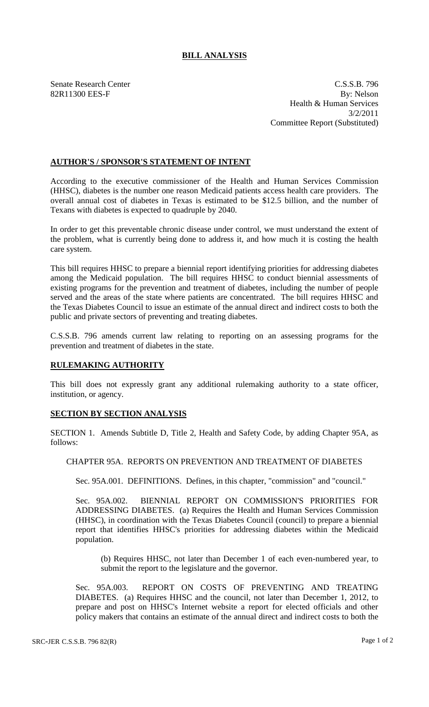## **BILL ANALYSIS**

Senate Research Center C.S.S.B. 796 82R11300 EES-F By: Nelson Health & Human Services 3/2/2011 Committee Report (Substituted)

## **AUTHOR'S / SPONSOR'S STATEMENT OF INTENT**

According to the executive commissioner of the Health and Human Services Commission (HHSC), diabetes is the number one reason Medicaid patients access health care providers. The overall annual cost of diabetes in Texas is estimated to be \$12.5 billion, and the number of Texans with diabetes is expected to quadruple by 2040.

In order to get this preventable chronic disease under control, we must understand the extent of the problem, what is currently being done to address it, and how much it is costing the health care system.

This bill requires HHSC to prepare a biennial report identifying priorities for addressing diabetes among the Medicaid population. The bill requires HHSC to conduct biennial assessments of existing programs for the prevention and treatment of diabetes, including the number of people served and the areas of the state where patients are concentrated. The bill requires HHSC and the Texas Diabetes Council to issue an estimate of the annual direct and indirect costs to both the public and private sectors of preventing and treating diabetes.

C.S.S.B. 796 amends current law relating to reporting on an assessing programs for the prevention and treatment of diabetes in the state.

## **RULEMAKING AUTHORITY**

This bill does not expressly grant any additional rulemaking authority to a state officer, institution, or agency.

## **SECTION BY SECTION ANALYSIS**

SECTION 1. Amends Subtitle D, Title 2, Health and Safety Code, by adding Chapter 95A, as follows:

CHAPTER 95A. REPORTS ON PREVENTION AND TREATMENT OF DIABETES

Sec. 95A.001. DEFINITIONS. Defines, in this chapter, "commission" and "council."

Sec. 95A.002. BIENNIAL REPORT ON COMMISSION'S PRIORITIES FOR ADDRESSING DIABETES. (a) Requires the Health and Human Services Commission (HHSC), in coordination with the Texas Diabetes Council (council) to prepare a biennial report that identifies HHSC's priorities for addressing diabetes within the Medicaid population.

(b) Requires HHSC, not later than December 1 of each even-numbered year, to submit the report to the legislature and the governor.

Sec. 95A.003. REPORT ON COSTS OF PREVENTING AND TREATING DIABETES. (a) Requires HHSC and the council, not later than December 1, 2012, to prepare and post on HHSC's Internet website a report for elected officials and other policy makers that contains an estimate of the annual direct and indirect costs to both the